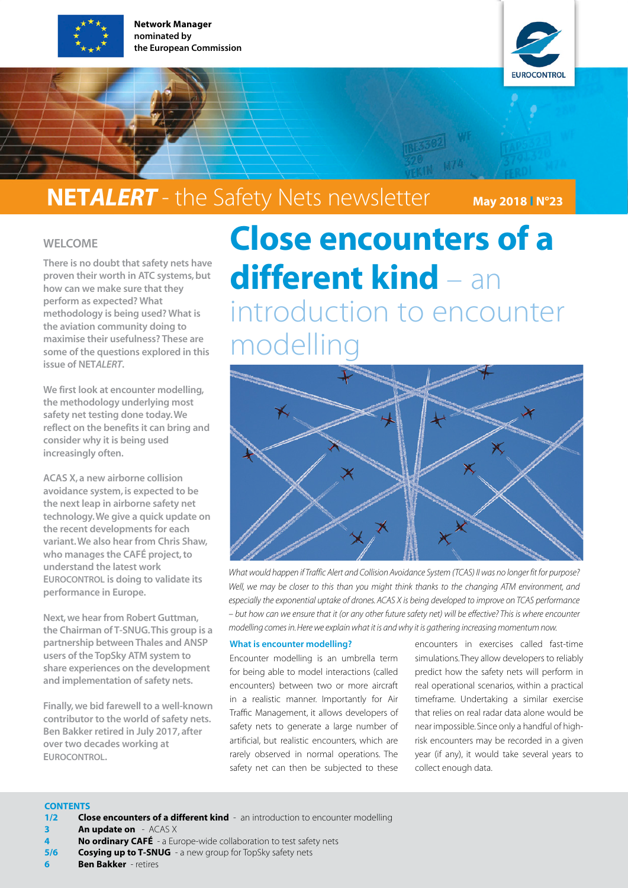

Network Manager nominated by the European Commission



### **NETALERT** - the Safety Nets newsletter May 2018 IN°23

#### WELCOME

There is no doubt that safety nets have proven their worth in ATC systems, but how can we make sure that they perform as expected? What methodology is being used? What is the aviation community doing to maximise their usefulness? These are some of the questions explored in this issue of NET*ALERT*.

We first look at encounter modelling. the methodology underlying most safety net testing done today. We reflect on the benefits it can bring and consider why it is being used increasingly often.

ACAS X, a new airborne collision avoidance system, is expected to be the next leap in airborne safety net technology. We give a quick update on the recent developments for each variant. We also hear from Chris Shaw, who manages the CAFÉ project, to understand the latest work EUROCONTROL is doing to validate its performance in Europe.

Next, we hear from Robert Guttman, the Chairman of T-SNUG. This group is a partnership between Thales and ANSP users of the TopSky ATM system to share experiences on the development and implementation of safety nets.

Finally, we bid farewell to a well-known contributor to the world of safety nets. Ben Bakker retired in July 2017, after over two decades working at **EUROCONTROL** 

# Close encounters of a different kind – an introduction to encounter modelling



*What would happen if Traffic Alert and Collision Avoidance System (TCAS) II was no longer fit for purpose? Well, we may be closer to this than you might think thanks to the changing ATM environment, and especially the exponential uptake of drones. ACAS X is being developed to improve on TCAS performance – but how can we ensure that it (or any other future safety net) will be effective? This is where encounter modelling comes in. Here we explain what it is and why it is gathering increasing momentum now.*

#### What is encounter modelling?

Encounter modelling is an umbrella term for being able to model interactions (called encounters) between two or more aircraft in a realistic manner. Importantly for Air Traffic Management, it allows developers of safety nets to generate a large number of artificial, but realistic encounters, which are rarely observed in normal operations. The safety net can then be subjected to these

encounters in exercises called fast-time simulations. They allow developers to reliably predict how the safety nets will perform in real operational scenarios, within a practical timeframe. Undertaking a similar exercise that relies on real radar data alone would be near impossible. Since only a handful of highrisk encounters may be recorded in a given year (if any), it would take several years to collect enough data.

#### **CONTENTS**

- 1/2 Close encounters of a different kind an introduction to encounter modelling
- **3 An update on** ACAS X
- No ordinary CAFÉ a Europe-wide collaboration to test safety nets
- **5/6** Cosving up to T-SNUG a new group for TopSky safety nets
- 6 Ben Bakker retires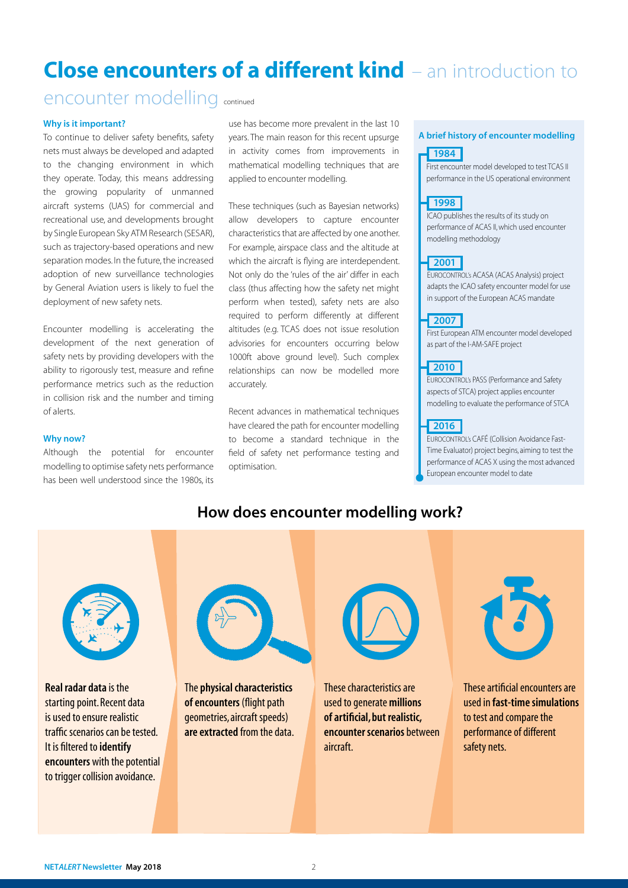### Close encounters of a different kind – an introduction to

### encounter modelling continued

#### Why is it important?

To continue to deliver safety benefits, safety nets must always be developed and adapted to the changing environment in which they operate. Today, this means addressing the growing popularity of unmanned aircraft systems (UAS) for commercial and recreational use, and developments brought by Single European Sky ATM Research (SESAR), such as trajectory-based operations and new separation modes. In the future, the increased adoption of new surveillance technologies by General Aviation users is likely to fuel the deployment of new safety nets.

Encounter modelling is accelerating the development of the next generation of safety nets by providing developers with the ability to rigorously test, measure and refine performance metrics such as the reduction in collision risk and the number and timing of alerts.

#### Why now?

Although the potential for encounter modelling to optimise safety nets performance has been well understood since the 1980s, its

use has become more prevalent in the last 10 years. The main reason for this recent upsurge in activity comes from improvements in mathematical modelling techniques that are applied to encounter modelling.

These techniques (such as Bayesian networks) allow developers to capture encounter characteristics that are affected by one another. For example, airspace class and the altitude at which the aircraft is flying are interdependent. Not only do the 'rules of the air' differ in each class (thus affecting how the safety net might perform when tested), safety nets are also required to perform differently at different altitudes (e.g. TCAS does not issue resolution advisories for encounters occurring below 1000ft above ground level). Such complex relationships can now be modelled more accurately.

Recent advances in mathematical techniques have cleared the path for encounter modelling to become a standard technique in the field of safety net performance testing and optimisation.

#### A brief history of encounter modelling

#### 1984

First encounter model developed to test TCAS II performance in the US operational environment

#### 1998

ICAO publishes the results of its study on performance of ACAS II, which used encounter modelling methodology

#### 2001

EUROCONTROL's ACASA (ACAS Analysis) project adapts the ICAO safety encounter model for use in support of the European ACAS mandate

#### 2007

First European ATM encounter model developed as part of the I-AM-SAFE project

#### 2010

EUROCONTROL's PASS (Performance and Safety aspects of STCA) project applies encounter modelling to evaluate the performance of STCA

#### 2016

EUROCONTROL's CAFÉ (Collision Avoidance Fast-Time Evaluator) project begins, aiming to test the performance of ACAS X using the most advanced European encounter model to date

#### How does encounter modelling work?

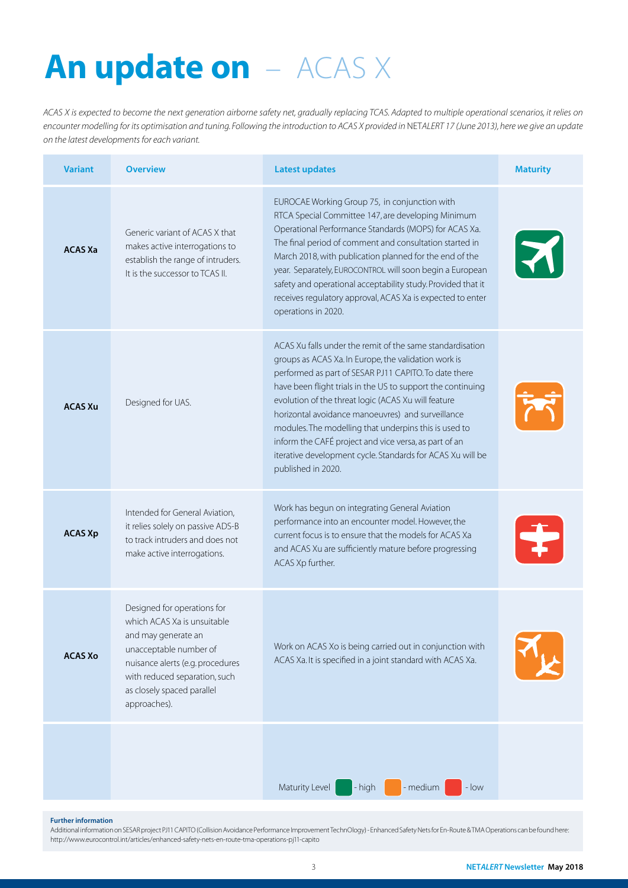# An update on  $-$  ACAS X

*ACAS X is expected to become the next generation airborne safety net, gradually replacing TCAS. Adapted to multiple operational scenarios, it relies on encounter modelling for its optimisation and tuning. Following the introduction to ACAS X provided in* NET*ALERT 17 (June 2013), here we give an update on the latest developments for each variant.*

| <b>Variant</b> | <b>Overview</b>                                                                                                                                                                                                                | <b>Latest updates</b>                                                                                                                                                                                                                                                                                                                                                                                                                                                                                                                                       | <b>Maturity</b>      |
|----------------|--------------------------------------------------------------------------------------------------------------------------------------------------------------------------------------------------------------------------------|-------------------------------------------------------------------------------------------------------------------------------------------------------------------------------------------------------------------------------------------------------------------------------------------------------------------------------------------------------------------------------------------------------------------------------------------------------------------------------------------------------------------------------------------------------------|----------------------|
| <b>ACAS Xa</b> | Generic variant of ACAS X that<br>makes active interrogations to<br>establish the range of intruders.<br>It is the successor to TCAS II.                                                                                       | EUROCAE Working Group 75, in conjunction with<br>RTCA Special Committee 147, are developing Minimum<br>Operational Performance Standards (MOPS) for ACAS Xa.<br>The final period of comment and consultation started in<br>March 2018, with publication planned for the end of the<br>year. Separately, EUROCONTROL will soon begin a European<br>safety and operational acceptability study. Provided that it<br>receives regulatory approval, ACAS Xa is expected to enter<br>operations in 2020.                                                         | $\blacktriangledown$ |
| <b>ACAS Xu</b> | Designed for UAS.                                                                                                                                                                                                              | ACAS Xu falls under the remit of the same standardisation<br>groups as ACAS Xa. In Europe, the validation work is<br>performed as part of SESAR PJ11 CAPITO. To date there<br>have been flight trials in the US to support the continuing<br>evolution of the threat logic (ACAS Xu will feature<br>horizontal avoidance manoeuvres) and surveillance<br>modules. The modelling that underpins this is used to<br>inform the CAFÉ project and vice versa, as part of an<br>iterative development cycle. Standards for ACAS Xu will be<br>published in 2020. |                      |
| <b>ACAS Xp</b> | Intended for General Aviation,<br>it relies solely on passive ADS-B<br>to track intruders and does not<br>make active interrogations.                                                                                          | Work has begun on integrating General Aviation<br>performance into an encounter model. However, the<br>current focus is to ensure that the models for ACAS Xa<br>and ACAS Xu are sufficiently mature before progressing<br>ACAS Xp further.                                                                                                                                                                                                                                                                                                                 |                      |
| <b>ACAS Xo</b> | Designed for operations for<br>which ACAS Xa is unsuitable<br>and may generate an<br>unacceptable number of<br>nuisance alerts (e.g. procedures<br>with reduced separation, such<br>as closely spaced parallel<br>approaches). | Work on ACAS Xo is being carried out in conjunction with<br>ACAS Xa. It is specified in a joint standard with ACAS Xa.                                                                                                                                                                                                                                                                                                                                                                                                                                      |                      |
|                |                                                                                                                                                                                                                                | Maturity Level<br>- medium<br>- high<br>$-$ low                                                                                                                                                                                                                                                                                                                                                                                                                                                                                                             |                      |

#### Further information

Additional information on SESAR project PJ11 CAPITO (Collision Avoidance Performance Improvement TechnOlogy) - Enhanced Safety Nets for En-Route & TMA Operations can be found here: http://www.eurocontrol.int/articles/enhanced-safety-nets-en-route-tma-operations-pj11-capito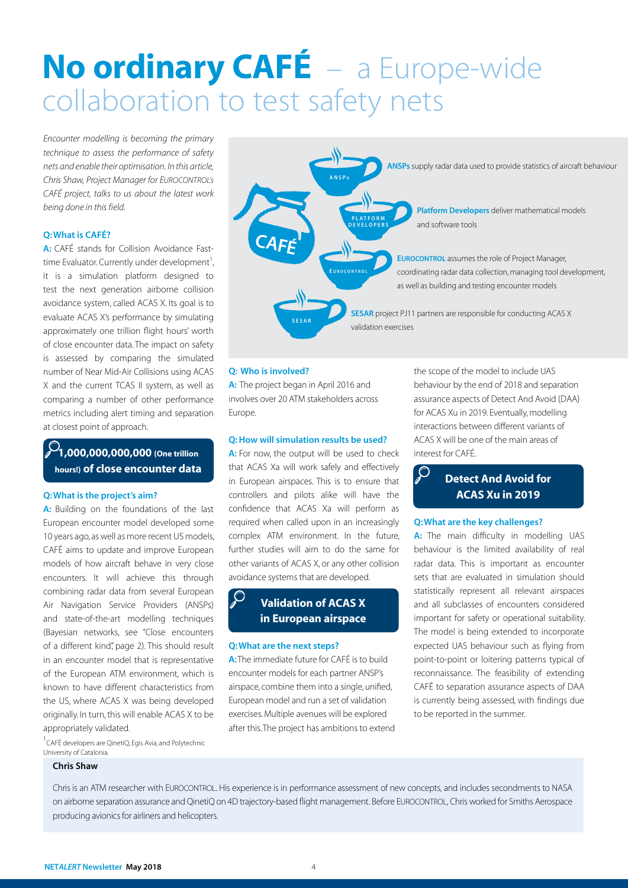# No ordinary CAFÉ – a Europe-wide collaboration to test safety nets

*Encounter modelling is becoming the primary technique to assess the performance of safety nets and enable their optimisation. In this article, Chris Shaw, Project Manager for EUROCONTROL's CAFÉ project, talks to us about the latest work being done in this field.*

#### Q: What is CAFÉ?

A: CAFÉ stands for Collision Avoidance Fasttime Evaluator. Currently under development<sup>1</sup>, it is a simulation platform designed to test the next generation airborne collision avoidance system, called ACAS X. Its goal is to evaluate ACAS X's performance by simulating approximately one trillion flight hours' worth of close encounter data. The impact on safety is assessed by comparing the simulated number of Near Mid-Air Collisions using ACAS X and the current TCAS II system, as well as comparing a number of other performance metrics including alert timing and separation at closest point of approach.

### $\sqrt{21,000,000,000,000}$  (One trillion hours!) of close encounter data

#### Q: What is the project's aim?

A: Building on the foundations of the last European encounter model developed some 10 years ago, as well as more recent US models, CAFÉ aims to update and improve European models of how aircraft behave in very close encounters. It will achieve this through combining radar data from several European Air Navigation Service Providers (ANSPs) and state-of-the-art modelling techniques (Bayesian networks, see "Close encounters of a different kind", page 2). This should result in an encounter model that is representative of the European ATM environment, which is known to have different characteristics from the US, where ACAS X was being developed originally. In turn, this will enable ACAS X to be appropriately validated.

<sup>1</sup> CAFÉ developers are QinetiQ, Egis Avia, and Polytechnic University of Catalonia.

#### Chris Shaw



#### Q: Who is involved?

A: The project began in April 2016 and involves over 20 ATM stakeholders across Europe.

#### Q: How will simulation results be used?

A: For now, the output will be used to check that ACAS Xa will work safely and effectively in European airspaces. This is to ensure that controllers and pilots alike will have the confidence that ACAS Xa will perform as required when called upon in an increasingly complex ATM environment. In the future, further studies will aim to do the same for other variants of ACAS X, or any other collision avoidance systems that are developed.

#### **O** Validation of ACAS X in European airspace

#### Q: What are the next steps?

A: The immediate future for CAFÉ is to build encounter models for each partner ANSP's airspace, combine them into a single, unified, European model and run a set of validation exercises. Multiple avenues will be explored after this. The project has ambitions to extend the scope of the model to include UAS behaviour by the end of 2018 and separation assurance aspects of Detect And Avoid (DAA) for ACAS Xu in 2019. Eventually, modelling interactions between different variants of ACAS X will be one of the main areas of interest for CAFÉ.

#### $\mathcal{Q}$ Detect And Avoid for ACAS Xu in 2019

#### Q: What are the key challenges?

A: The main difficulty in modelling UAS behaviour is the limited availability of real radar data. This is important as encounter sets that are evaluated in simulation should statistically represent all relevant airspaces and all subclasses of encounters considered important for safety or operational suitability. The model is being extended to incorporate expected UAS behaviour such as flying from point-to-point or loitering patterns typical of reconnaissance. The feasibility of extending CAFÉ to separation assurance aspects of DAA is currently being assessed, with findings due to be reported in the summer.

Chris is an ATM researcher with EUROCONTROL. His experience is in performance assessment of new concepts, and includes secondments to NASA on airborne separation assurance and QinetiQ on 4D trajectory-based flight management. Before EUROCONTROL, Chris worked for Smiths Aerospace producing avionics for airliners and helicopters.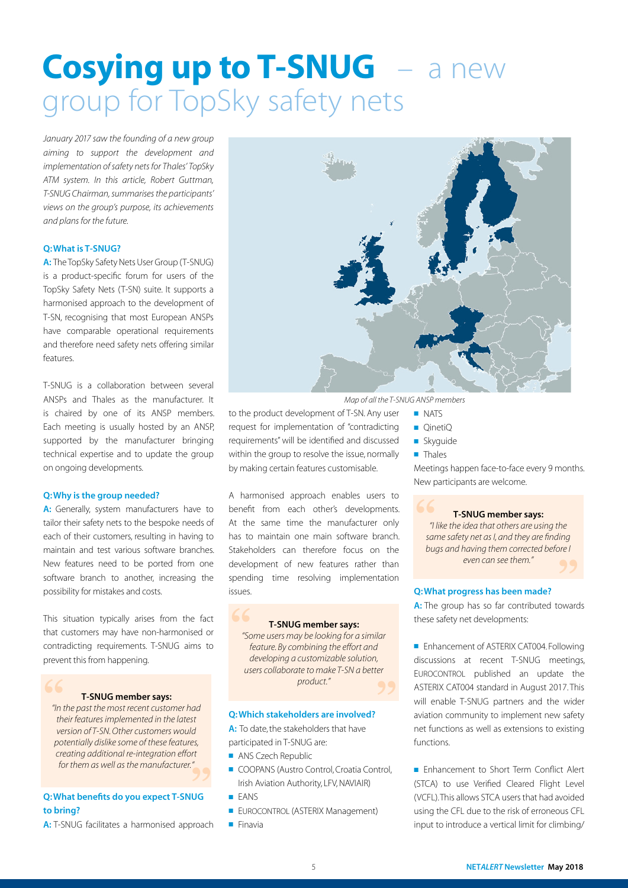# **Cosying up to T-SNUG** – a new group for TopSky safety nets

*January 2017 saw the founding of a new group aiming to support the development and implementation of safety nets for Thales' TopSky ATM system. In this article, Robert Guttman, T-SNUG Chairman, summarises the participants' views on the group's purpose, its achievements and plans for the future.* 

#### Q: What is T-SNUG?

A: The TopSky Safety Nets User Group (T-SNUG) is a product-specific forum for users of the TopSky Safety Nets (T-SN) suite. It supports a harmonised approach to the development of T-SN, recognising that most European ANSPs have comparable operational requirements and therefore need safety nets offering similar features.

T-SNUG is a collaboration between several ANSPs and Thales as the manufacturer. It is chaired by one of its ANSP members. Each meeting is usually hosted by an ANSP, supported by the manufacturer bringing technical expertise and to update the group on ongoing developments.

#### Q: Why is the group needed?

A: Generally, system manufacturers have to tailor their safety nets to the bespoke needs of each of their customers, resulting in having to maintain and test various software branches. New features need to be ported from one software branch to another, increasing the possibility for mistakes and costs.

This situation typically arises from the fact that customers may have non-harmonised or contradicting requirements. T-SNUG aims to prevent this from happening.

#### T-SNUG member says:

*"In the past the most recent customer had*  **"** *their features implemented in the latest version of T-SN. Other customers would potentially dislike some of these features, creating additional re-integration effort for them as well as the manufacturer."* es,<br><sup>rt</sup><br>**99** 

#### Q: What benefits do you expect T-SNUG to bring?

A: T-SNUG facilitates a harmonised approach



*Map of all the T-SNUG ANSP members*

<sup>),</sup><br>"<br>**99** 

- NATS
- QinetiQ
- Skyguide
	- Thales

Meetings happen face-to-face every 9 months. New participants are welcome.

#### T-SNUG member says:

*"I like the idea that others are using the same safety net as I, and they are finding bugs and having them corrected before I even can see them."* **"** ding<br>pre l<br>**99** 

#### Q: What progress has been made?

A: The group has so far contributed towards these safety net developments:

■ Enhancement of ASTERIX CAT004. Following discussions at recent T-SNUG meetings, EUROCONTROL published an update the ASTERIX CAT004 standard in August 2017. This will enable T-SNUG partners and the wider aviation community to implement new safety net functions as well as extensions to existing functions.

■ Enhancement to Short Term Conflict Alert (STCA) to use Verified Cleared Flight Level (VCFL). This allows STCA users that had avoided using the CFL due to the risk of erroneous CFL input to introduce a vertical limit for climbing/

**EUROCONTROL (ASTERIX Management)** 

■ COOPANS (Austro Control, Croatia Control, Irish Aviation Authority, LFV, NAVIAIR)

Q: Which stakeholders are involved? A: To date, the stakeholders that have

participated in T-SNUG are: ■ ANS Czech Republic

to the product development of T-SN. Any user request for implementation of "contradicting requirements" will be identified and discussed within the group to resolve the issue, normally by making certain features customisable.

A harmonised approach enables users to benefit from each other's developments. At the same time the manufacturer only has to maintain one main software branch. Stakeholders can therefore focus on the development of new features rather than spending time resolving implementation

T-SNUG member says: *"Some users may be looking for a similar feature. By combining the effort and developing a customizable solution, users collaborate to make T-SN a better product."*

■ Finavia

■ FANS

issues.

**"**